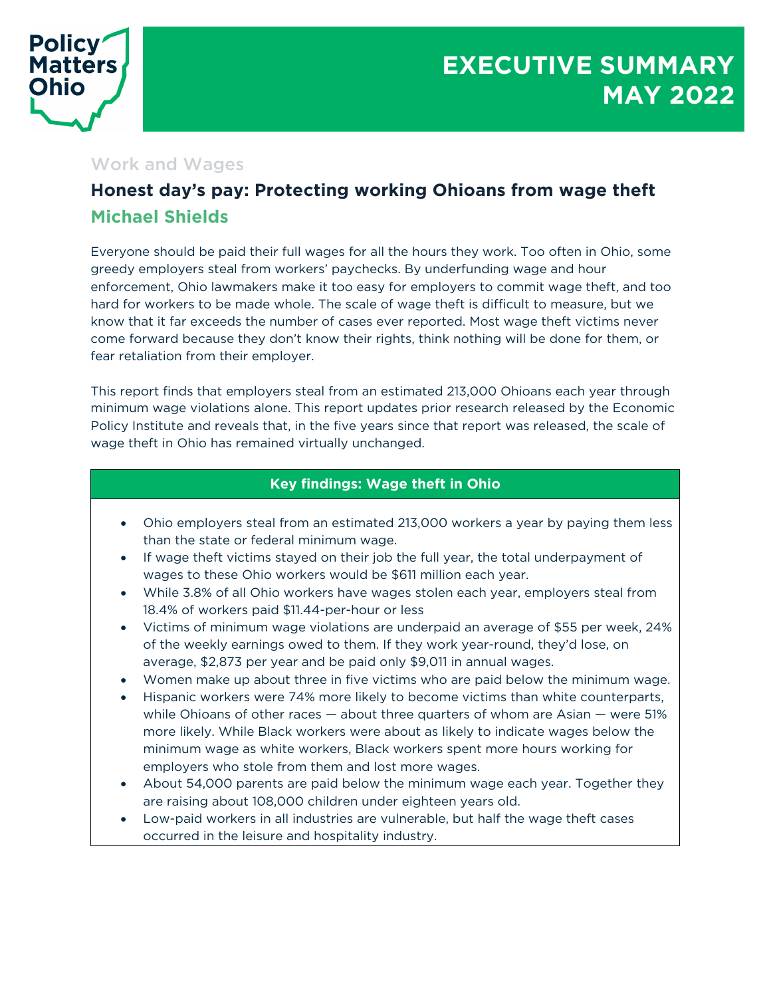

# Work and Wages

# **Honest day's pay: Protecting working Ohioans from wage theft Michael Shields**

Everyone should be paid their full wages for all the hours they work. Too often in Ohio, some greedy employers steal from workers' paychecks. By underfunding wage and hour enforcement, Ohio lawmakers make it too easy for employers to commit wage theft, and too hard for workers to be made whole. The scale of wage theft is difficult to measure, but we know that it far exceeds the number of cases ever reported. Most wage theft victims never come forward because they don't know their rights, think nothing will be done for them, or fear retaliation from their employer.

This report finds that employers steal from an estimated 213,000 Ohioans each year through minimum wage violations alone. This report updates prior research released by the Economic Policy Institute and reveals that, in the five years since that report was released, the scale of wage theft in Ohio has remained virtually unchanged.

## **Key findings: Wage theft in Ohio**

- Ohio employers steal from an estimated 213,000 workers a year by paying them less than the state or federal minimum wage.
- If wage theft victims stayed on their job the full year, the total underpayment of wages to these Ohio workers would be \$611 million each year.
- While 3.8% of all Ohio workers have wages stolen each year, employers steal from 18.4% of workers paid \$11.44-per-hour or less
- Victims of minimum wage violations are underpaid an average of \$55 per week, 24% of the weekly earnings owed to them. If they work year-round, they'd lose, on average, \$2,873 per year and be paid only \$9,011 in annual wages.
- Women make up about three in five victims who are paid below the minimum wage.
- Hispanic workers were 74% more likely to become victims than white counterparts, while Ohioans of other races — about three quarters of whom are Asian — were 51% more likely. While Black workers were about as likely to indicate wages below the minimum wage as white workers, Black workers spent more hours working for employers who stole from them and lost more wages.
- About 54,000 parents are paid below the minimum wage each year. Together they are raising about 108,000 children under eighteen years old.
- Low-paid workers in all industries are vulnerable, but half the wage theft cases occurred in the leisure and hospitality industry.